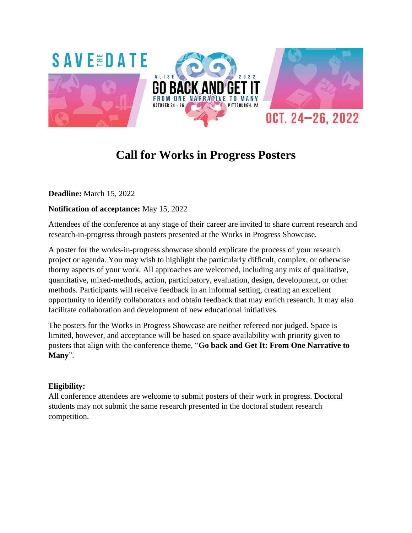

# **Call for Works in Progress Posters**

**Deadline:** March 15, 2022

# **Notification of acceptance:** May 15, 2022

Attendees of the conference at any stage of their career are invited to share current research and research-in-progress through posters presented at the Works in Progress Showcase.

A poster for the works-in-progress showcase should explicate the process of your research project or agenda. You may wish to highlight the particularly difficult, complex, or otherwise thorny aspects of your work. All approaches are welcomed, including any mix of qualitative, quantitative, mixed-methods, action, participatory, evaluation, design, development, or other methods. Participants will receive feedback in an informal setting, creating an excellent opportunity to identify collaborators and obtain feedback that may enrich research. It may also facilitate collaboration and development of new educational initiatives.

The posters for the Works in Progress Showcase are neither refereed nor judged. Space is limited, however, and acceptance will be based on space availability with priority given to posters that align with the conference theme, "**Go back and Get It: From One Narrative to Many**".

## **Eligibility:**

All conference attendees are welcome to submit posters of their work in progress. Doctoral students may not submit the same research presented in the doctoral student research competition.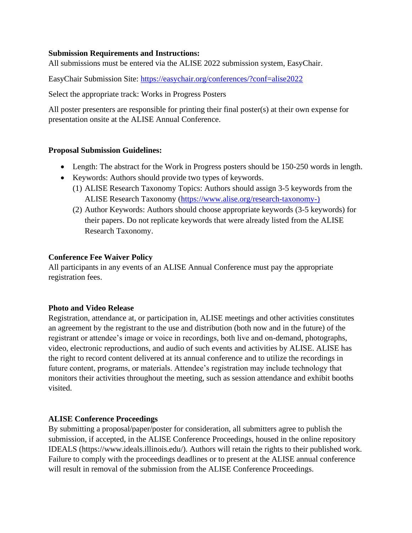#### **Submission Requirements and Instructions:**

All submissions must be entered via the ALISE 2022 submission system, EasyChair.

EasyChair Submission Site:<https://easychair.org/conferences/?conf=alise2022>

Select the appropriate track: Works in Progress Posters

All poster presenters are responsible for printing their final poster(s) at their own expense for presentation onsite at the ALISE Annual Conference.

#### **Proposal Submission Guidelines:**

- Length: The abstract for the Work in Progress posters should be 150-250 words in length.
- Keywords: Authors should provide two types of keywords.
	- (1) ALISE Research Taxonomy Topics: Authors should assign 3-5 keywords from the ALISE Research Taxonomy [\(https://www.alise.org/research-taxonomy-\)](https://www.alise.org/research-taxonomy-))
	- (2) Author Keywords: Authors should choose appropriate keywords (3-5 keywords) for their papers. Do not replicate keywords that were already listed from the ALISE Research Taxonomy.

#### **Conference Fee Waiver Policy**

All participants in any events of an ALISE Annual Conference must pay the appropriate registration fees.

## **Photo and Video Release**

Registration, attendance at, or participation in, ALISE meetings and other activities constitutes an agreement by the registrant to the use and distribution (both now and in the future) of the registrant or attendee's image or voice in recordings, both live and on-demand, photographs, video, electronic reproductions, and audio of such events and activities by ALISE. ALISE has the right to record content delivered at its annual conference and to utilize the recordings in future content, programs, or materials. Attendee's registration may include technology that monitors their activities throughout the meeting, such as session attendance and exhibit booths visited.

## **ALISE Conference Proceedings**

By submitting a proposal/paper/poster for consideration, all submitters agree to publish the submission, if accepted, in the ALISE Conference Proceedings, housed in the online repository IDEALS (https://www.ideals.illinois.edu/). Authors will retain the rights to their published work. Failure to comply with the proceedings deadlines or to present at the ALISE annual conference will result in removal of the submission from the ALISE Conference Proceedings.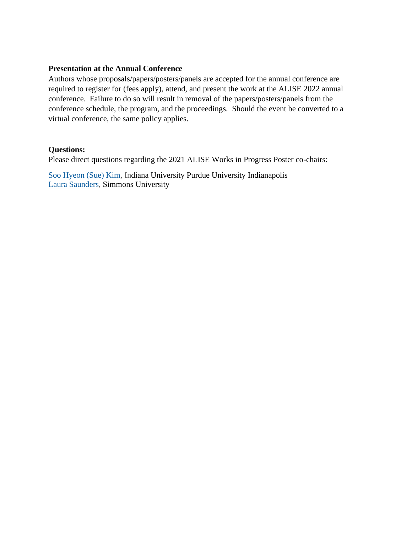#### **Presentation at the Annual Conference**

Authors whose proposals/papers/posters/panels are accepted for the annual conference are required to register for (fees apply), attend, and present the work at the ALISE 2022 annual conference. Failure to do so will result in removal of the papers/posters/panels from the conference schedule, the program, and the proceedings. Should the event be converted to a virtual conference, the same policy applies.

#### **Questions:**

Please direct questions regarding the 2021 ALISE Works in Progress Poster co-chairs:

Soo [Hyeon](mailto:skim541@iu.edu) (Sue) Kim, Indiana University Purdue University Indianapolis Laura [Saunders,](mailto:laura.saunders@simmons.edu) Simmons University